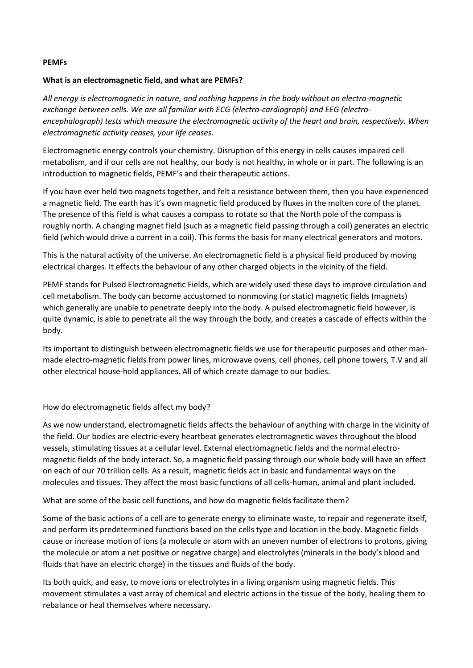#### **PEMFs**

### **What is an electromagnetic field, and what are PEMFs?**

*All energy is electromagnetic in nature, and nothing happens in the body without an electro-magnetic exchange between cells. We are all familiar with ECG (electro-cardiograph) and EEG (electroencephalograph) tests which measure the electromagnetic activity of the heart and brain, respectively. When electromagnetic activity ceases, your life ceases.*

Electromagnetic energy controls your chemistry. Disruption of this energy in cells causes impaired cell metabolism, and if our cells are not healthy, our body is not healthy, in whole or in part. The following is an introduction to magnetic fields, PEMF's and their therapeutic actions.

If you have ever held two magnets together, and felt a resistance between them, then you have experienced a magnetic field. The earth has it's own magnetic field produced by fluxes in the molten core of the planet. The presence of this field is what causes a compass to rotate so that the North pole of the compass is roughly north. A changing magnet field (such as a magnetic field passing through a coil) generates an electric field (which would drive a current in a coil). This forms the basis for many electrical generators and motors.

This is the natural activity of the universe. An electromagnetic field is a physical field produced by moving electrical charges. It effects the behaviour of any other charged objects in the vicinity of the field.

PEMF stands for Pulsed Electromagnetic Fields, which are widely used these days to improve circulation and cell metabolism. The body can become accustomed to nonmoving (or static) magnetic fields (magnets) which generally are unable to penetrate deeply into the body. A pulsed electromagnetic field however, is quite dynamic, is able to penetrate all the way through the body, and creates a cascade of effects within the body.

Its important to distinguish between electromagnetic fields we use for therapeutic purposes and other manmade electro-magnetic fields from power lines, microwave ovens, cell phones, cell phone towers, T.V and all other electrical house-hold appliances. All of which create damage to our bodies.

How do electromagnetic fields affect my body?

As we now understand, electromagnetic fields affects the behaviour of anything with charge in the vicinity of the field. Our bodies are electric-every heartbeat generates electromagnetic waves throughout the blood vessels, stimulating tissues at a cellular level. External electromagnetic fields and the normal electromagnetic fields of the body interact. So, a magnetic field passing through our whole body will have an effect on each of our 70 trillion cells. As a result, magnetic fields act in basic and fundamental ways on the molecules and tissues. They affect the most basic functions of all cells-human, animal and plant included.

What are some of the basic cell functions, and how do magnetic fields facilitate them?

Some of the basic actions of a cell are to generate energy to eliminate waste, to repair and regenerate itself, and perform its predetermined functions based on the cells type and location in the body. Magnetic fields cause or increase motion of ions (a molecule or atom with an uneven number of electrons to protons, giving the molecule or atom a net positive or negative charge) and electrolytes (minerals in the body's blood and fluids that have an electric charge) in the tissues and fluids of the body.

Its both quick, and easy, to move ions or electrolytes in a living organism using magnetic fields. This movement stimulates a vast array of chemical and electric actions in the tissue of the body, healing them to rebalance or heal themselves where necessary.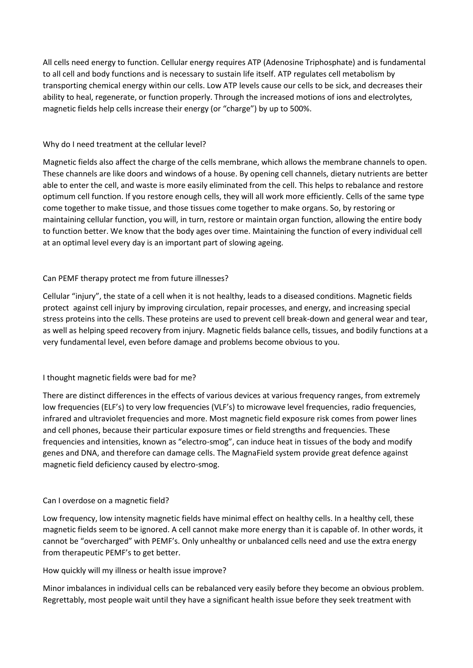All cells need energy to function. Cellular energy requires ATP (Adenosine Triphosphate) and is fundamental to all cell and body functions and is necessary to sustain life itself. ATP regulates cell metabolism by transporting chemical energy within our cells. Low ATP levels cause our cells to be sick, and decreases their ability to heal, regenerate, or function properly. Through the increased motions of ions and electrolytes, magnetic fields help cells increase their energy (or "charge") by up to 500%.

### Why do I need treatment at the cellular level?

Magnetic fields also affect the charge of the cells membrane, which allows the membrane channels to open. These channels are like doors and windows of a house. By opening cell channels, dietary nutrients are better able to enter the cell, and waste is more easily eliminated from the cell. This helps to rebalance and restore optimum cell function. If you restore enough cells, they will all work more efficiently. Cells of the same type come together to make tissue, and those tissues come together to make organs. So, by restoring or maintaining cellular function, you will, in turn, restore or maintain organ function, allowing the entire body to function better. We know that the body ages over time. Maintaining the function of every individual cell at an optimal level every day is an important part of slowing ageing.

# Can PEMF therapy protect me from future illnesses?

Cellular "injury", the state of a cell when it is not healthy, leads to a diseased conditions. Magnetic fields protect against cell injury by improving circulation, repair processes, and energy, and increasing special stress proteins into the cells. These proteins are used to prevent cell break-down and general wear and tear, as well as helping speed recovery from injury. Magnetic fields balance cells, tissues, and bodily functions at a very fundamental level, even before damage and problems become obvious to you.

# I thought magnetic fields were bad for me?

There are distinct differences in the effects of various devices at various frequency ranges, from extremely low frequencies (ELF's) to very low frequencies (VLF's) to microwave level frequencies, radio frequencies, infrared and ultraviolet frequencies and more. Most magnetic field exposure risk comes from power lines and cell phones, because their particular exposure times or field strengths and frequencies. These frequencies and intensities, known as "electro-smog", can induce heat in tissues of the body and modify genes and DNA, and therefore can damage cells. The MagnaField system provide great defence against magnetic field deficiency caused by electro-smog.

### Can I overdose on a magnetic field?

Low frequency, low intensity magnetic fields have minimal effect on healthy cells. In a healthy cell, these magnetic fields seem to be ignored. A cell cannot make more energy than it is capable of. In other words, it cannot be "overcharged" with PEMF's. Only unhealthy or unbalanced cells need and use the extra energy from therapeutic PEMF's to get better.

### How quickly will my illness or health issue improve?

Minor imbalances in individual cells can be rebalanced very easily before they become an obvious problem. Regrettably, most people wait until they have a significant health issue before they seek treatment with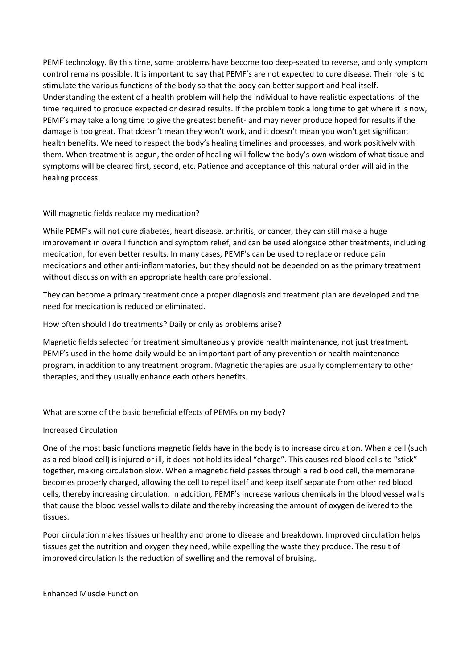PEMF technology. By this time, some problems have become too deep-seated to reverse, and only symptom control remains possible. It is important to say that PEMF's are not expected to cure disease. Their role is to stimulate the various functions of the body so that the body can better support and heal itself. Understanding the extent of a health problem will help the individual to have realistic expectations of the time required to produce expected or desired results. If the problem took a long time to get where it is now, PEMF's may take a long time to give the greatest benefit- and may never produce hoped for results if the damage is too great. That doesn't mean they won't work, and it doesn't mean you won't get significant health benefits. We need to respect the body's healing timelines and processes, and work positively with them. When treatment is begun, the order of healing will follow the body's own wisdom of what tissue and symptoms will be cleared first, second, etc. Patience and acceptance of this natural order will aid in the healing process.

# Will magnetic fields replace my medication?

While PEMF's will not cure diabetes, heart disease, arthritis, or cancer, they can still make a huge improvement in overall function and symptom relief, and can be used alongside other treatments, including medication, for even better results. In many cases, PEMF's can be used to replace or reduce pain medications and other anti-inflammatories, but they should not be depended on as the primary treatment without discussion with an appropriate health care professional.

They can become a primary treatment once a proper diagnosis and treatment plan are developed and the need for medication is reduced or eliminated.

How often should I do treatments? Daily or only as problems arise?

Magnetic fields selected for treatment simultaneously provide health maintenance, not just treatment. PEMF's used in the home daily would be an important part of any prevention or health maintenance program, in addition to any treatment program. Magnetic therapies are usually complementary to other therapies, and they usually enhance each others benefits.

# What are some of the basic beneficial effects of PEMFs on my body?

### Increased Circulation

One of the most basic functions magnetic fields have in the body is to increase circulation. When a cell (such as a red blood cell) is injured or ill, it does not hold its ideal "charge". This causes red blood cells to "stick" together, making circulation slow. When a magnetic field passes through a red blood cell, the membrane becomes properly charged, allowing the cell to repel itself and keep itself separate from other red blood cells, thereby increasing circulation. In addition, PEMF's increase various chemicals in the blood vessel walls that cause the blood vessel walls to dilate and thereby increasing the amount of oxygen delivered to the tissues.

Poor circulation makes tissues unhealthy and prone to disease and breakdown. Improved circulation helps tissues get the nutrition and oxygen they need, while expelling the waste they produce. The result of improved circulation Is the reduction of swelling and the removal of bruising.

Enhanced Muscle Function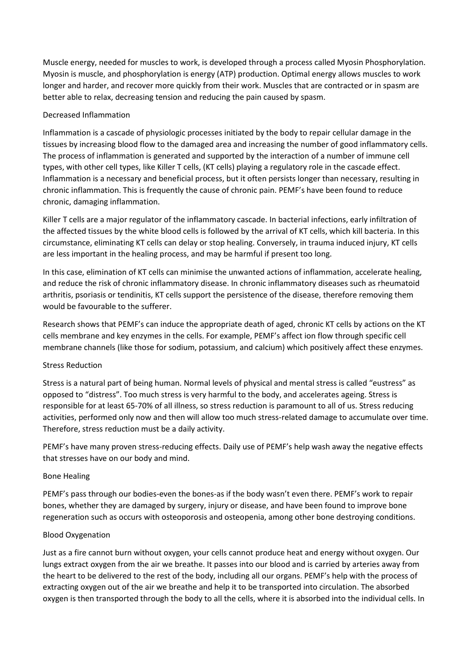Muscle energy, needed for muscles to work, is developed through a process called Myosin Phosphorylation. Myosin is muscle, and phosphorylation is energy (ATP) production. Optimal energy allows muscles to work longer and harder, and recover more quickly from their work. Muscles that are contracted or in spasm are better able to relax, decreasing tension and reducing the pain caused by spasm.

### Decreased Inflammation

Inflammation is a cascade of physiologic processes initiated by the body to repair cellular damage in the tissues by increasing blood flow to the damaged area and increasing the number of good inflammatory cells. The process of inflammation is generated and supported by the interaction of a number of immune cell types, with other cell types, like Killer T cells, (KT cells) playing a regulatory role in the cascade effect. Inflammation is a necessary and beneficial process, but it often persists longer than necessary, resulting in chronic inflammation. This is frequently the cause of chronic pain. PEMF's have been found to reduce chronic, damaging inflammation.

Killer T cells are a major regulator of the inflammatory cascade. In bacterial infections, early infiltration of the affected tissues by the white blood cells is followed by the arrival of KT cells, which kill bacteria. In this circumstance, eliminating KT cells can delay or stop healing. Conversely, in trauma induced injury, KT cells are less important in the healing process, and may be harmful if present too long.

In this case, elimination of KT cells can minimise the unwanted actions of inflammation, accelerate healing, and reduce the risk of chronic inflammatory disease. In chronic inflammatory diseases such as rheumatoid arthritis, psoriasis or tendinitis, KT cells support the persistence of the disease, therefore removing them would be favourable to the sufferer.

Research shows that PEMF's can induce the appropriate death of aged, chronic KT cells by actions on the KT cells membrane and key enzymes in the cells. For example, PEMF's affect ion flow through specific cell membrane channels (like those for sodium, potassium, and calcium) which positively affect these enzymes.

### Stress Reduction

Stress is a natural part of being human. Normal levels of physical and mental stress is called "eustress" as opposed to "distress". Too much stress is very harmful to the body, and accelerates ageing. Stress is responsible for at least 65-70% of all illness, so stress reduction is paramount to all of us. Stress reducing activities, performed only now and then will allow too much stress-related damage to accumulate over time. Therefore, stress reduction must be a daily activity.

PEMF's have many proven stress-reducing effects. Daily use of PEMF's help wash away the negative effects that stresses have on our body and mind.

### Bone Healing

PEMF's pass through our bodies-even the bones-as if the body wasn't even there. PEMF's work to repair bones, whether they are damaged by surgery, injury or disease, and have been found to improve bone regeneration such as occurs with osteoporosis and osteopenia, among other bone destroying conditions.

### Blood Oxygenation

Just as a fire cannot burn without oxygen, your cells cannot produce heat and energy without oxygen. Our lungs extract oxygen from the air we breathe. It passes into our blood and is carried by arteries away from the heart to be delivered to the rest of the body, including all our organs. PEMF's help with the process of extracting oxygen out of the air we breathe and help it to be transported into circulation. The absorbed oxygen is then transported through the body to all the cells, where it is absorbed into the individual cells. In